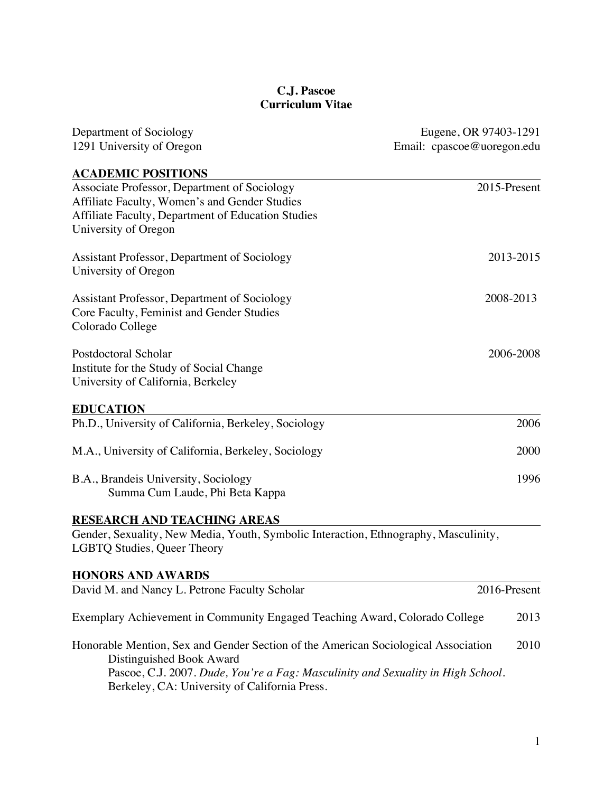## **C.J. Pascoe Curriculum Vitae**

| Department of Sociology                                                                                                                                                                                                                             | Eugene, OR 97403-1291      |
|-----------------------------------------------------------------------------------------------------------------------------------------------------------------------------------------------------------------------------------------------------|----------------------------|
| 1291 University of Oregon                                                                                                                                                                                                                           | Email: cpascoe@uoregon.edu |
| <b>ACADEMIC POSITIONS</b>                                                                                                                                                                                                                           |                            |
| Associate Professor, Department of Sociology<br>Affiliate Faculty, Women's and Gender Studies<br>Affiliate Faculty, Department of Education Studies<br>University of Oregon                                                                         | 2015-Present               |
| Assistant Professor, Department of Sociology<br>University of Oregon                                                                                                                                                                                | 2013-2015                  |
| Assistant Professor, Department of Sociology<br>Core Faculty, Feminist and Gender Studies<br>Colorado College                                                                                                                                       | 2008-2013                  |
| Postdoctoral Scholar<br>Institute for the Study of Social Change<br>University of California, Berkeley                                                                                                                                              | 2006-2008                  |
| <b>EDUCATION</b>                                                                                                                                                                                                                                    |                            |
| Ph.D., University of California, Berkeley, Sociology                                                                                                                                                                                                | 2006                       |
| M.A., University of California, Berkeley, Sociology                                                                                                                                                                                                 | 2000                       |
| B.A., Brandeis University, Sociology<br>Summa Cum Laude, Phi Beta Kappa                                                                                                                                                                             | 1996                       |
| <b>RESEARCH AND TEACHING AREAS</b>                                                                                                                                                                                                                  |                            |
| Gender, Sexuality, New Media, Youth, Symbolic Interaction, Ethnography, Masculinity,<br><b>LGBTQ Studies, Queer Theory</b>                                                                                                                          |                            |
| <b>HONORS AND AWARDS</b>                                                                                                                                                                                                                            |                            |
| David M. and Nancy L. Petrone Faculty Scholar                                                                                                                                                                                                       | 2016-Present               |
| Exemplary Achievement in Community Engaged Teaching Award, Colorado College                                                                                                                                                                         | 2013                       |
| Honorable Mention, Sex and Gender Section of the American Sociological Association<br>Distinguished Book Award<br>Pascoe, C.J. 2007. Dude, You're a Fag: Masculinity and Sexuality in High School.<br>Berkeley, CA: University of California Press. | 2010                       |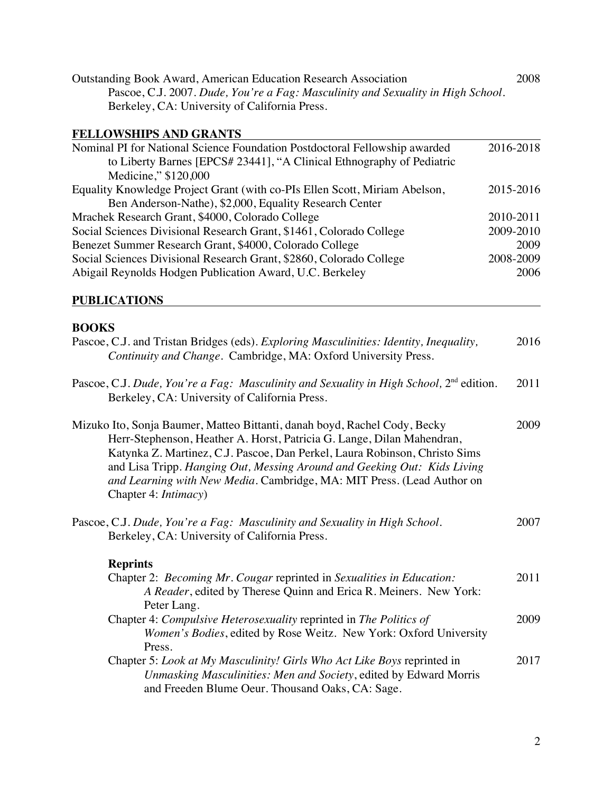| <b>Outstanding Book Award, American Education Research Association</b>           | 2008 |
|----------------------------------------------------------------------------------|------|
| Pascoe, C.J. 2007. Dude, You're a Fag: Masculinity and Sexuality in High School. |      |
| Berkeley, CA: University of California Press.                                    |      |

# **FELLOWSHIPS AND GRANTS**

| to Liberty Barnes [EPCS# 23441], "A Clinical Ethnography of Pediatric<br>Medicine," \$120,000 |
|-----------------------------------------------------------------------------------------------|
|                                                                                               |
|                                                                                               |
| Equality Knowledge Project Grant (with co-PIs Ellen Scott, Miriam Abelson,<br>2015-2016       |
| Ben Anderson-Nathe), \$2,000, Equality Research Center                                        |
| Mrachek Research Grant, \$4000, Colorado College<br>2010-2011                                 |
| Social Sciences Divisional Research Grant, \$1461, Colorado College<br>2009-2010              |
| Benezet Summer Research Grant, \$4000, Colorado College<br>2009                               |
| Social Sciences Divisional Research Grant, \$2860, Colorado College<br>2008-2009              |
| Abigail Reynolds Hodgen Publication Award, U.C. Berkeley<br>2006                              |

### **PUBLICATIONS**

## **BOOKS**

| Pascoe, C.J. and Tristan Bridges (eds). Exploring Masculinities: Identity, Inequality,<br>Continuity and Change. Cambridge, MA: Oxford University Press.                                                                                                                                                                                                                                                        | 2016 |
|-----------------------------------------------------------------------------------------------------------------------------------------------------------------------------------------------------------------------------------------------------------------------------------------------------------------------------------------------------------------------------------------------------------------|------|
| Pascoe, C.J. Dude, You're a Fag: Masculinity and Sexuality in High School, $2nd$ edition.<br>Berkeley, CA: University of California Press.                                                                                                                                                                                                                                                                      | 2011 |
| Mizuko Ito, Sonja Baumer, Matteo Bittanti, danah boyd, Rachel Cody, Becky<br>Herr-Stephenson, Heather A. Horst, Patricia G. Lange, Dilan Mahendran,<br>Katynka Z. Martinez, C.J. Pascoe, Dan Perkel, Laura Robinson, Christo Sims<br>and Lisa Tripp. Hanging Out, Messing Around and Geeking Out: Kids Living<br>and Learning with New Media. Cambridge, MA: MIT Press. (Lead Author on<br>Chapter 4: Intimacy) | 2009 |
| Pascoe, C.J. Dude, You're a Fag: Masculinity and Sexuality in High School.<br>Berkeley, CA: University of California Press.                                                                                                                                                                                                                                                                                     | 2007 |
| <b>Reprints</b>                                                                                                                                                                                                                                                                                                                                                                                                 |      |
| Chapter 2: Becoming Mr. Cougar reprinted in Sexualities in Education:<br>A Reader, edited by Therese Quinn and Erica R. Meiners. New York:<br>Peter Lang.                                                                                                                                                                                                                                                       | 2011 |
| Chapter 4: <i>Compulsive Heterosexuality</i> reprinted in <i>The Politics of</i><br>Women's Bodies, edited by Rose Weitz. New York: Oxford University<br>Press.                                                                                                                                                                                                                                                 | 2009 |
| Chapter 5: Look at My Masculinity! Girls Who Act Like Boys reprinted in<br>Unmasking Masculinities: Men and Society, edited by Edward Morris<br>and Freeden Blume Oeur. Thousand Oaks, CA: Sage.                                                                                                                                                                                                                | 2017 |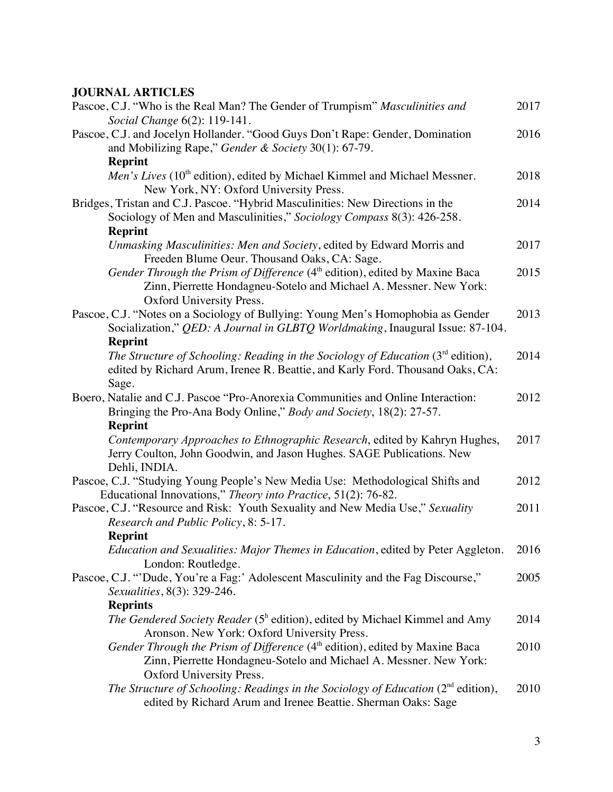### **JOURNAL ARTICLES**

| Pascoe, C.J. "Who is the Real Man? The Gender of Trumpism" Masculinities and<br>Social Change 6(2): 119-141.                                                                              | 2017 |
|-------------------------------------------------------------------------------------------------------------------------------------------------------------------------------------------|------|
| Pascoe, C.J. and Jocelyn Hollander. "Good Guys Don't Rape: Gender, Domination<br>and Mobilizing Rape," Gender & Society 30(1): 67-79.                                                     | 2016 |
| <b>Reprint</b>                                                                                                                                                                            |      |
| Men's Lives (10 <sup>th</sup> edition), edited by Michael Kimmel and Michael Messner.<br>New York, NY: Oxford University Press.                                                           | 2018 |
| Bridges, Tristan and C.J. Pascoe. "Hybrid Masculinities: New Directions in the<br>Sociology of Men and Masculinities," Sociology Compass 8(3): 426-258.                                   | 2014 |
| <b>Reprint</b>                                                                                                                                                                            |      |
| Unmasking Masculinities: Men and Society, edited by Edward Morris and<br>Freeden Blume Oeur. Thousand Oaks, CA: Sage.                                                                     | 2017 |
| Gender Through the Prism of Difference (4 <sup>th</sup> edition), edited by Maxine Baca<br>Zinn, Pierrette Hondagneu-Sotelo and Michael A. Messner. New York:<br>Oxford University Press. | 2015 |
| Pascoe, C.J. "Notes on a Sociology of Bullying: Young Men's Homophobia as Gender<br>Socialization," QED: A Journal in GLBTQ Worldmaking, Inaugural Issue: 87-104.                         | 2013 |
| <b>Reprint</b>                                                                                                                                                                            |      |
| The Structure of Schooling: Reading in the Sociology of Education $(3rd$ edition),<br>edited by Richard Arum, Irenee R. Beattie, and Karly Ford. Thousand Oaks, CA:                       | 2014 |
| Sage.                                                                                                                                                                                     | 2012 |
| Boero, Natalie and C.J. Pascoe "Pro-Anorexia Communities and Online Interaction:                                                                                                          |      |
| Bringing the Pro-Ana Body Online," Body and Society, 18(2): 27-57.                                                                                                                        |      |
| <b>Reprint</b>                                                                                                                                                                            |      |
| Contemporary Approaches to Ethnographic Research, edited by Kahryn Hughes,<br>Jerry Coulton, John Goodwin, and Jason Hughes. SAGE Publications. New<br>Dehli, INDIA.                      | 2017 |
| Pascoe, C.J. "Studying Young People's New Media Use: Methodological Shifts and                                                                                                            | 2012 |
| Educational Innovations," Theory into Practice, 51(2): 76-82.                                                                                                                             |      |
| Pascoe, C.J. "Resource and Risk: Youth Sexuality and New Media Use," Sexuality<br>Research and Public Policy, 8: 5-17.                                                                    | 2011 |
| <b>Reprint</b>                                                                                                                                                                            |      |
| Education and Sexualities: Major Themes in Education, edited by Peter Aggleton.<br>London: Routledge.                                                                                     | 2016 |
| Pascoe, C.J. "'Dude, You're a Fag:' Adolescent Masculinity and the Fag Discourse,"                                                                                                        | 2005 |
| Sexualities, 8(3): 329-246.                                                                                                                                                               |      |
| <b>Reprints</b>                                                                                                                                                                           |      |
| <i>The Gendered Society Reader</i> (5 <sup>h</sup> edition), edited by Michael Kimmel and Amy<br>Aronson. New York: Oxford University Press.                                              | 2014 |
| Gender Through the Prism of Difference (4 <sup>th</sup> edition), edited by Maxine Baca<br>Zinn, Pierrette Hondagneu-Sotelo and Michael A. Messner. New York:<br>Oxford University Press. | 2010 |
| The Structure of Schooling: Readings in the Sociology of Education $(2nd$ edition),<br>edited by Richard Arum and Irenee Beattie. Sherman Oaks: Sage                                      | 2010 |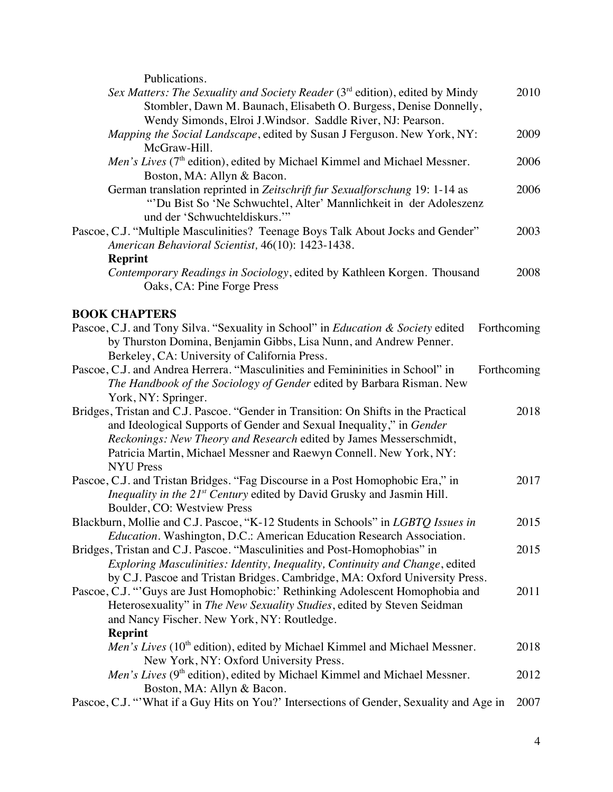Publications.

| I UVIIVAUVIIS.                                                                                                                                                                                                                                                                                                              |             |
|-----------------------------------------------------------------------------------------------------------------------------------------------------------------------------------------------------------------------------------------------------------------------------------------------------------------------------|-------------|
| Sex Matters: The Sexuality and Society Reader (3 <sup>rd</sup> edition), edited by Mindy<br>Stombler, Dawn M. Baunach, Elisabeth O. Burgess, Denise Donnelly,<br>Wendy Simonds, Elroi J.Windsor. Saddle River, NJ: Pearson.                                                                                                 | 2010        |
| Mapping the Social Landscape, edited by Susan J Ferguson. New York, NY:<br>McGraw-Hill.                                                                                                                                                                                                                                     | 2009        |
| Men's Lives (7 <sup>th</sup> edition), edited by Michael Kimmel and Michael Messner.<br>Boston, MA: Allyn & Bacon.                                                                                                                                                                                                          | 2006        |
| German translation reprinted in Zeitschrift fur Sexualforschung 19: 1-14 as<br>"'Du Bist So 'Ne Schwuchtel, Alter' Mannlichkeit in der Adoleszenz<br>und der 'Schwuchteldiskurs."                                                                                                                                           | 2006        |
| Pascoe, C.J. "Multiple Masculinities? Teenage Boys Talk About Jocks and Gender"                                                                                                                                                                                                                                             | 2003        |
| American Behavioral Scientist, 46(10): 1423-1438.                                                                                                                                                                                                                                                                           |             |
| <b>Reprint</b>                                                                                                                                                                                                                                                                                                              | 2008        |
| Contemporary Readings in Sociology, edited by Kathleen Korgen. Thousand<br>Oaks, CA: Pine Forge Press                                                                                                                                                                                                                       |             |
| <b>BOOK CHAPTERS</b>                                                                                                                                                                                                                                                                                                        |             |
| Pascoe, C.J. and Tony Silva. "Sexuality in School" in Education & Society edited<br>by Thurston Domina, Benjamin Gibbs, Lisa Nunn, and Andrew Penner.<br>Berkeley, CA: University of California Press.                                                                                                                      | Forthcoming |
| Pascoe, C.J. and Andrea Herrera. "Masculinities and Femininities in School" in<br>The Handbook of the Sociology of Gender edited by Barbara Risman. New<br>York, NY: Springer.                                                                                                                                              | Forthcoming |
| Bridges, Tristan and C.J. Pascoe. "Gender in Transition: On Shifts in the Practical<br>and Ideological Supports of Gender and Sexual Inequality," in Gender<br>Reckonings: New Theory and Research edited by James Messerschmidt,<br>Patricia Martin, Michael Messner and Raewyn Connell. New York, NY:<br><b>NYU Press</b> | 2018        |
| Pascoe, C.J. and Tristan Bridges. "Fag Discourse in a Post Homophobic Era," in<br>Inequality in the 21 <sup>st</sup> Century edited by David Grusky and Jasmin Hill.<br>Boulder, CO: Westview Press                                                                                                                         | 2017        |
| Blackburn, Mollie and C.J. Pascoe, "K-12 Students in Schools" in LGBTQ Issues in<br><i>Education</i> . Washington, D.C.: American Education Research Association.                                                                                                                                                           | 2015        |
| Bridges, Tristan and C.J. Pascoe. "Masculinities and Post-Homophobias" in<br>Exploring Masculinities: Identity, Inequality, Continuity and Change, edited<br>by C.J. Pascoe and Tristan Bridges. Cambridge, MA: Oxford University Press.                                                                                    | 2015        |
| Pascoe, C.J. "'Guys are Just Homophobic:' Rethinking Adolescent Homophobia and<br>Heterosexuality" in The New Sexuality Studies, edited by Steven Seidman<br>and Nancy Fischer. New York, NY: Routledge.<br><b>Reprint</b>                                                                                                  | 2011        |
| Men's Lives (10 <sup>th</sup> edition), edited by Michael Kimmel and Michael Messner.<br>New York, NY: Oxford University Press.                                                                                                                                                                                             | 2018        |
| Men's Lives (9 <sup>th</sup> edition), edited by Michael Kimmel and Michael Messner.<br>Boston, MA: Allyn & Bacon.                                                                                                                                                                                                          | 2012        |
| Pascoe, C.J. "'What if a Guy Hits on You?' Intersections of Gender, Sexuality and Age in                                                                                                                                                                                                                                    | 2007        |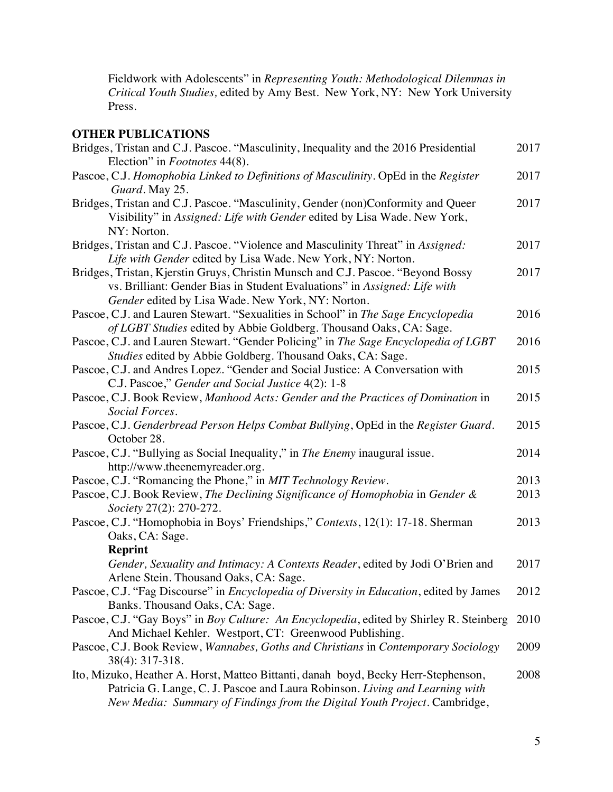Fieldwork with Adolescents" in *Representing Youth: Methodological Dilemmas in Critical Youth Studies,* edited by Amy Best. New York, NY: New York University Press.

# **OTHER PUBLICATIONS**

| Bridges, Tristan and C.J. Pascoe. "Masculinity, Inequality and the 2016 Presidential<br>Election" in <i>Footnotes</i> 44(8).                                                                                                                    | 2017 |
|-------------------------------------------------------------------------------------------------------------------------------------------------------------------------------------------------------------------------------------------------|------|
| Pascoe, C.J. Homophobia Linked to Definitions of Masculinity. OpEd in the Register<br>Guard. May 25.                                                                                                                                            | 2017 |
| Bridges, Tristan and C.J. Pascoe. "Masculinity, Gender (non)Conformity and Queer<br>Visibility" in Assigned: Life with Gender edited by Lisa Wade. New York,<br>NY: Norton.                                                                     | 2017 |
| Bridges, Tristan and C.J. Pascoe. "Violence and Masculinity Threat" in Assigned:<br>Life with Gender edited by Lisa Wade. New York, NY: Norton.                                                                                                 | 2017 |
| Bridges, Tristan, Kjerstin Gruys, Christin Munsch and C.J. Pascoe. "Beyond Bossy<br>vs. Brilliant: Gender Bias in Student Evaluations" in Assigned: Life with<br>Gender edited by Lisa Wade. New York, NY: Norton.                              | 2017 |
| Pascoe, C.J. and Lauren Stewart. "Sexualities in School" in The Sage Encyclopedia<br>of LGBT Studies edited by Abbie Goldberg. Thousand Oaks, CA: Sage.                                                                                         | 2016 |
| Pascoe, C.J. and Lauren Stewart. "Gender Policing" in The Sage Encyclopedia of LGBT<br>Studies edited by Abbie Goldberg. Thousand Oaks, CA: Sage.                                                                                               | 2016 |
| Pascoe, C.J. and Andres Lopez. "Gender and Social Justice: A Conversation with<br>C.J. Pascoe," Gender and Social Justice 4(2): 1-8                                                                                                             | 2015 |
| Pascoe, C.J. Book Review, Manhood Acts: Gender and the Practices of Domination in<br>Social Forces.                                                                                                                                             | 2015 |
| Pascoe, C.J. Genderbread Person Helps Combat Bullying, OpEd in the Register Guard.<br>October 28.                                                                                                                                               | 2015 |
| Pascoe, C.J. "Bullying as Social Inequality," in The Enemy inaugural issue.<br>http://www.theenemyreader.org.                                                                                                                                   | 2014 |
| Pascoe, C.J. "Romancing the Phone," in MIT Technology Review.                                                                                                                                                                                   | 2013 |
| Pascoe, C.J. Book Review, The Declining Significance of Homophobia in Gender &<br>Society 27(2): 270-272.                                                                                                                                       | 2013 |
| Pascoe, C.J. "Homophobia in Boys' Friendships," Contexts, 12(1): 17-18. Sherman<br>Oaks, CA: Sage.                                                                                                                                              | 2013 |
| <b>Reprint</b>                                                                                                                                                                                                                                  |      |
| Gender, Sexuality and Intimacy: A Contexts Reader, edited by Jodi O'Brien and<br>Arlene Stein. Thousand Oaks, CA: Sage.                                                                                                                         | 2017 |
| Pascoe, C.J. "Fag Discourse" in Encyclopedia of Diversity in Education, edited by James<br>Banks. Thousand Oaks, CA: Sage.                                                                                                                      | 2012 |
| Pascoe, C.J. "Gay Boys" in Boy Culture: An Encyclopedia, edited by Shirley R. Steinberg<br>And Michael Kehler. Westport, CT: Greenwood Publishing.                                                                                              | 2010 |
| Pascoe, C.J. Book Review, Wannabes, Goths and Christians in Contemporary Sociology<br>38(4): 317-318.                                                                                                                                           | 2009 |
| Ito, Mizuko, Heather A. Horst, Matteo Bittanti, danah boyd, Becky Herr-Stephenson,<br>Patricia G. Lange, C. J. Pascoe and Laura Robinson. Living and Learning with<br>New Media: Summary of Findings from the Digital Youth Project. Cambridge, | 2008 |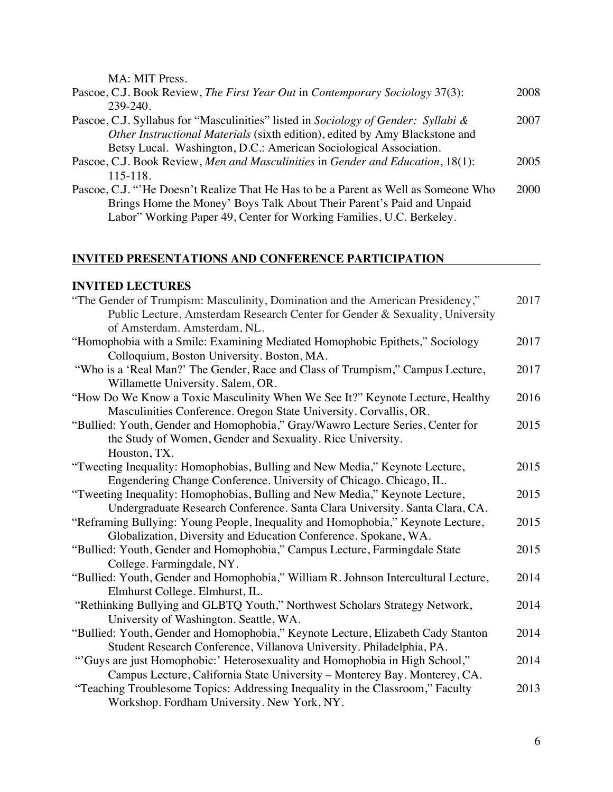MA: MIT Press.

| Pascoe, C.J. Book Review, The First Year Out in Contemporary Sociology 37(3):      | 2008 |
|------------------------------------------------------------------------------------|------|
| 239-240.                                                                           |      |
| Pascoe, C.J. Syllabus for "Masculinities" listed in Sociology of Gender: Syllabi & | 2007 |
| Other Instructional Materials (sixth edition), edited by Amy Blackstone and        |      |
| Betsy Lucal. Washington, D.C.: American Sociological Association.                  |      |
| Pascoe, C.J. Book Review, Men and Masculinities in Gender and Education, 18(1):    | 2005 |
| $115 - 118.$                                                                       |      |
| Pascoe, C.J. "He Doesn't Realize That He Has to be a Parent as Well as Someone Who | 2000 |
| Brings Home the Money' Boys Talk About Their Parent's Paid and Unpaid              |      |
| Labor" Working Paper 49, Center for Working Families, U.C. Berkeley.               |      |

### **INVITED PRESENTATIONS AND CONFERENCE PARTICIPATION**

### **INVITED LECTURES**

| "The Gender of Trumpism: Masculinity, Domination and the American Presidency,"     | 2017 |
|------------------------------------------------------------------------------------|------|
| Public Lecture, Amsterdam Research Center for Gender & Sexuality, University       |      |
| of Amsterdam. Amsterdam, NL.                                                       |      |
| "Homophobia with a Smile: Examining Mediated Homophobic Epithets," Sociology       | 2017 |
| Colloquium, Boston University. Boston, MA.                                         |      |
| "Who is a 'Real Man?' The Gender, Race and Class of Trumpism," Campus Lecture,     | 2017 |
| Willamette University. Salem, OR.                                                  |      |
| "How Do We Know a Toxic Masculinity When We See It?" Keynote Lecture, Healthy      | 2016 |
| Masculinities Conference. Oregon State University. Corvallis, OR.                  |      |
| "Bullied: Youth, Gender and Homophobia," Gray/Wawro Lecture Series, Center for     | 2015 |
| the Study of Women, Gender and Sexuality. Rice University.                         |      |
| Houston, TX.                                                                       |      |
| "Tweeting Inequality: Homophobias, Bulling and New Media," Keynote Lecture,        | 2015 |
| Engendering Change Conference. University of Chicago. Chicago, IL.                 |      |
| "Tweeting Inequality: Homophobias, Bulling and New Media," Keynote Lecture,        | 2015 |
| Undergraduate Research Conference. Santa Clara University. Santa Clara, CA.        |      |
| "Reframing Bullying: Young People, Inequality and Homophobia," Keynote Lecture,    | 2015 |
| Globalization, Diversity and Education Conference. Spokane, WA.                    |      |
| "Bullied: Youth, Gender and Homophobia," Campus Lecture, Farmingdale State         | 2015 |
| College. Farmingdale, NY.                                                          |      |
| "Bullied: Youth, Gender and Homophobia," William R. Johnson Intercultural Lecture, | 2014 |
| Elmhurst College. Elmhurst, IL.                                                    |      |
| "Rethinking Bullying and GLBTQ Youth," Northwest Scholars Strategy Network,        | 2014 |
| University of Washington. Seattle, WA.                                             |      |
| "Bullied: Youth, Gender and Homophobia," Keynote Lecture, Elizabeth Cady Stanton   | 2014 |
| Student Research Conference, Villanova University. Philadelphia, PA.               |      |
| "Guys are just Homophobic:' Heterosexuality and Homophobia in High School,"        | 2014 |
| Campus Lecture, California State University - Monterey Bay. Monterey, CA.          |      |
| "Teaching Troublesome Topics: Addressing Inequality in the Classroom," Faculty     | 2013 |
| Workshop. Fordham University. New York, NY.                                        |      |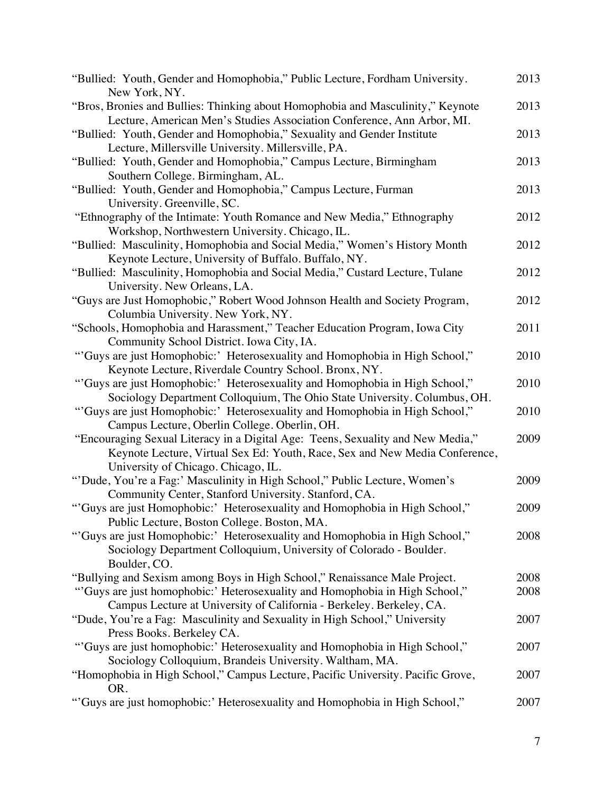| "Bullied: Youth, Gender and Homophobia," Public Lecture, Fordham University.<br>New York, NY.                                                                                                         | 2013 |
|-------------------------------------------------------------------------------------------------------------------------------------------------------------------------------------------------------|------|
| "Bros, Bronies and Bullies: Thinking about Homophobia and Masculinity," Keynote<br>Lecture, American Men's Studies Association Conference, Ann Arbor, MI.                                             | 2013 |
| "Bullied: Youth, Gender and Homophobia," Sexuality and Gender Institute<br>Lecture, Millersville University. Millersville, PA.                                                                        | 2013 |
| "Bullied: Youth, Gender and Homophobia," Campus Lecture, Birmingham<br>Southern College. Birmingham, AL.                                                                                              | 2013 |
| "Bullied: Youth, Gender and Homophobia," Campus Lecture, Furman<br>University. Greenville, SC.                                                                                                        | 2013 |
| "Ethnography of the Intimate: Youth Romance and New Media," Ethnography<br>Workshop, Northwestern University. Chicago, IL.                                                                            | 2012 |
| "Bullied: Masculinity, Homophobia and Social Media," Women's History Month<br>Keynote Lecture, University of Buffalo. Buffalo, NY.                                                                    | 2012 |
| "Bullied: Masculinity, Homophobia and Social Media," Custard Lecture, Tulane<br>University. New Orleans, LA.                                                                                          | 2012 |
| "Guys are Just Homophobic," Robert Wood Johnson Health and Society Program,<br>Columbia University. New York, NY.                                                                                     | 2012 |
| "Schools, Homophobia and Harassment," Teacher Education Program, Iowa City<br>Community School District. Iowa City, IA.                                                                               | 2011 |
| "Guys are just Homophobic:' Heterosexuality and Homophobia in High School,"<br>Keynote Lecture, Riverdale Country School. Bronx, NY.                                                                  | 2010 |
| "Guys are just Homophobic:' Heterosexuality and Homophobia in High School,"<br>Sociology Department Colloquium, The Ohio State University. Columbus, OH.                                              | 2010 |
| "Guys are just Homophobic:' Heterosexuality and Homophobia in High School,"<br>Campus Lecture, Oberlin College. Oberlin, OH.                                                                          | 2010 |
| "Encouraging Sexual Literacy in a Digital Age: Teens, Sexuality and New Media,"<br>Keynote Lecture, Virtual Sex Ed: Youth, Race, Sex and New Media Conference,<br>University of Chicago. Chicago, IL. | 2009 |
| "'Dude, You're a Fag:' Masculinity in High School," Public Lecture, Women's<br>Community Center, Stanford University. Stanford, CA.                                                                   | 2009 |
| "Guys are just Homophobic:' Heterosexuality and Homophobia in High School,"<br>Public Lecture, Boston College. Boston, MA.                                                                            | 2009 |
| "Guys are just Homophobic:' Heterosexuality and Homophobia in High School,"<br>Sociology Department Colloquium, University of Colorado - Boulder.<br>Boulder, CO.                                     | 2008 |
| "Bullying and Sexism among Boys in High School," Renaissance Male Project.                                                                                                                            | 2008 |
| "Guys are just homophobic:' Heterosexuality and Homophobia in High School,"<br>Campus Lecture at University of California - Berkeley. Berkeley, CA.                                                   | 2008 |
| "Dude, You're a Fag: Masculinity and Sexuality in High School," University<br>Press Books. Berkeley CA.                                                                                               | 2007 |
| "Guys are just homophobic:' Heterosexuality and Homophobia in High School,"<br>Sociology Colloquium, Brandeis University. Waltham, MA.                                                                | 2007 |
| "Homophobia in High School," Campus Lecture, Pacific University. Pacific Grove,<br>OR.                                                                                                                | 2007 |
| "Guys are just homophobic:' Heterosexuality and Homophobia in High School,"                                                                                                                           | 2007 |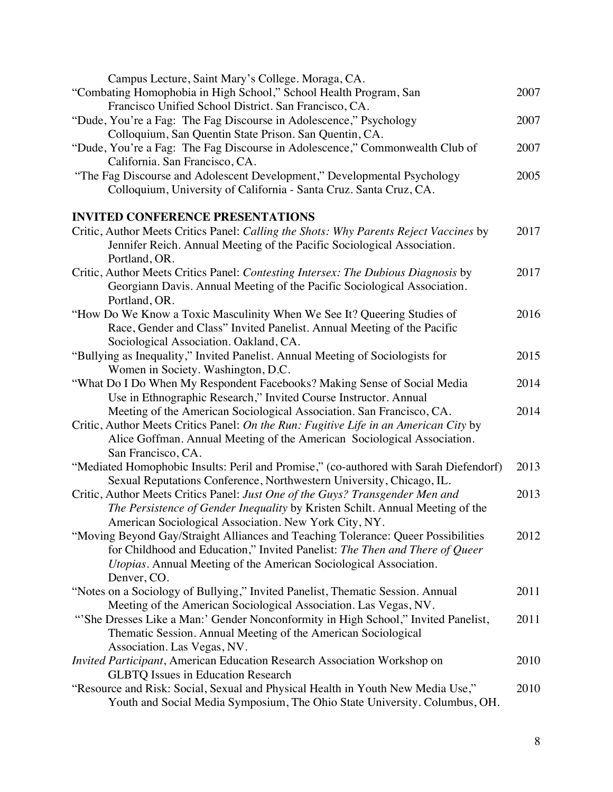| Campus Lecture, Saint Mary's College. Moraga, CA.                                        |      |
|------------------------------------------------------------------------------------------|------|
| "Combating Homophobia in High School," School Health Program, San                        | 2007 |
| Francisco Unified School District. San Francisco, CA.                                    |      |
| "Dude, You're a Fag: The Fag Discourse in Adolescence," Psychology                       | 2007 |
| Colloquium, San Quentin State Prison. San Quentin, CA.                                   |      |
| "Dude, You're a Fag: The Fag Discourse in Adolescence," Commonwealth Club of             | 2007 |
| California. San Francisco, CA.                                                           |      |
| "The Fag Discourse and Adolescent Development," Developmental Psychology                 | 2005 |
| Colloquium, University of California - Santa Cruz. Santa Cruz, CA.                       |      |
|                                                                                          |      |
| <b>INVITED CONFERENCE PRESENTATIONS</b>                                                  |      |
| Critic, Author Meets Critics Panel: Calling the Shots: Why Parents Reject Vaccines by    | 2017 |
| Jennifer Reich. Annual Meeting of the Pacific Sociological Association.<br>Portland, OR. |      |
| Critic, Author Meets Critics Panel: Contesting Intersex: The Dubious Diagnosis by        | 2017 |
| Georgiann Davis. Annual Meeting of the Pacific Sociological Association.                 |      |
| Portland, OR.                                                                            |      |
| "How Do We Know a Toxic Masculinity When We See It? Queering Studies of                  | 2016 |
| Race, Gender and Class" Invited Panelist. Annual Meeting of the Pacific                  |      |
| Sociological Association. Oakland, CA.                                                   |      |
| "Bullying as Inequality," Invited Panelist. Annual Meeting of Sociologists for           | 2015 |
| Women in Society. Washington, D.C.                                                       |      |
| "What Do I Do When My Respondent Facebooks? Making Sense of Social Media                 | 2014 |
| Use in Ethnographic Research," Invited Course Instructor. Annual                         |      |
| Meeting of the American Sociological Association. San Francisco, CA.                     | 2014 |
| Critic, Author Meets Critics Panel: On the Run: Fugitive Life in an American City by     |      |
| Alice Goffman. Annual Meeting of the American Sociological Association.                  |      |
| San Francisco, CA.                                                                       |      |
| "Mediated Homophobic Insults: Peril and Promise," (co-authored with Sarah Diefendorf)    | 2013 |
| Sexual Reputations Conference, Northwestern University, Chicago, IL.                     |      |
| Critic, Author Meets Critics Panel: Just One of the Guys? Transgender Men and            | 2013 |
| The Persistence of Gender Inequality by Kristen Schilt. Annual Meeting of the            |      |
| American Sociological Association. New York City, NY.                                    |      |
| "Moving Beyond Gay/Straight Alliances and Teaching Tolerance: Queer Possibilities        | 2012 |
| for Childhood and Education," Invited Panelist: The Then and There of Queer              |      |
| Utopias. Annual Meeting of the American Sociological Association.                        |      |
| Denver, CO.                                                                              |      |
| "Notes on a Sociology of Bullying," Invited Panelist, Thematic Session. Annual           | 2011 |
| Meeting of the American Sociological Association. Las Vegas, NV.                         |      |
| "She Dresses Like a Man:' Gender Nonconformity in High School," Invited Panelist,        | 2011 |
| Thematic Session. Annual Meeting of the American Sociological                            |      |
| Association. Las Vegas, NV.                                                              |      |
| Invited Participant, American Education Research Association Workshop on                 | 2010 |
| <b>GLBTQ Issues in Education Research</b>                                                |      |
| "Resource and Risk: Social, Sexual and Physical Health in Youth New Media Use,"          | 2010 |
| Youth and Social Media Symposium, The Ohio State University. Columbus, OH.               |      |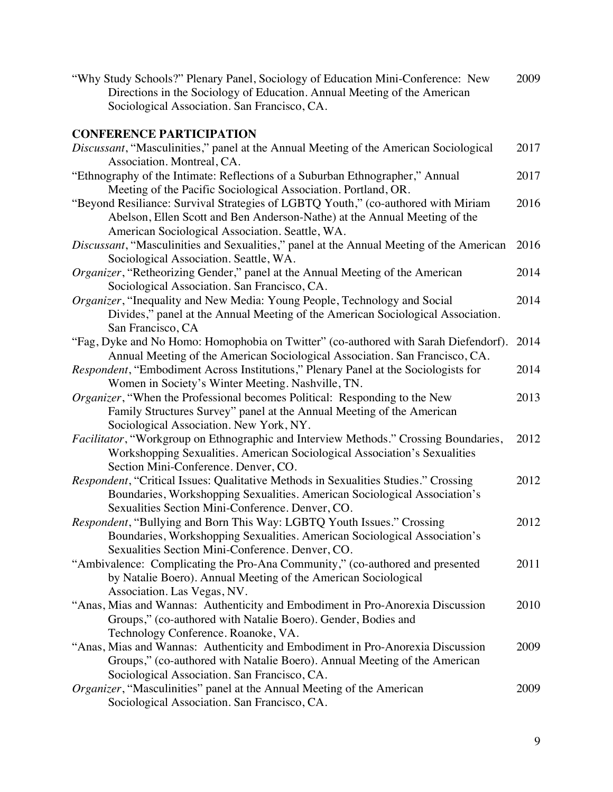| "Why Study Schools?" Plenary Panel, Sociology of Education Mini-Conference: New | 2009 |
|---------------------------------------------------------------------------------|------|
| Directions in the Sociology of Education. Annual Meeting of the American        |      |
| Sociological Association. San Francisco, CA.                                    |      |

# **CONFERENCE PARTICIPATION**

| Discussant, "Masculinities," panel at the Annual Meeting of the American Sociological<br>Association. Montreal, CA.                                                                                                  | 2017 |
|----------------------------------------------------------------------------------------------------------------------------------------------------------------------------------------------------------------------|------|
| "Ethnography of the Intimate: Reflections of a Suburban Ethnographer," Annual<br>Meeting of the Pacific Sociological Association. Portland, OR.                                                                      | 2017 |
| "Beyond Resiliance: Survival Strategies of LGBTQ Youth," (co-authored with Miriam<br>Abelson, Ellen Scott and Ben Anderson-Nathe) at the Annual Meeting of the<br>American Sociological Association. Seattle, WA.    | 2016 |
| Discussant, "Masculinities and Sexualities," panel at the Annual Meeting of the American<br>Sociological Association. Seattle, WA.                                                                                   | 2016 |
| Organizer, "Retheorizing Gender," panel at the Annual Meeting of the American<br>Sociological Association. San Francisco, CA.                                                                                        | 2014 |
| Organizer, "Inequality and New Media: Young People, Technology and Social<br>Divides," panel at the Annual Meeting of the American Sociological Association.<br>San Francisco, CA                                    | 2014 |
| "Fag, Dyke and No Homo: Homophobia on Twitter" (co-authored with Sarah Diefendorf).<br>Annual Meeting of the American Sociological Association. San Francisco, CA.                                                   | 2014 |
| Respondent, "Embodiment Across Institutions," Plenary Panel at the Sociologists for<br>Women in Society's Winter Meeting. Nashville, TN.                                                                             | 2014 |
| Organizer, "When the Professional becomes Political: Responding to the New<br>Family Structures Survey" panel at the Annual Meeting of the American<br>Sociological Association. New York, NY.                       | 2013 |
| Facilitator, "Workgroup on Ethnographic and Interview Methods." Crossing Boundaries,<br>Workshopping Sexualities. American Sociological Association's Sexualities<br>Section Mini-Conference. Denver, CO.            | 2012 |
| Respondent, "Critical Issues: Qualitative Methods in Sexualities Studies." Crossing<br>Boundaries, Workshopping Sexualities. American Sociological Association's<br>Sexualities Section Mini-Conference. Denver, CO. | 2012 |
| Respondent, "Bullying and Born This Way: LGBTQ Youth Issues." Crossing<br>Boundaries, Workshopping Sexualities. American Sociological Association's<br>Sexualities Section Mini-Conference. Denver, CO.              | 2012 |
| "Ambivalence: Complicating the Pro-Ana Community," (co-authored and presented<br>by Natalie Boero). Annual Meeting of the American Sociological<br>Association. Las Vegas, NV.                                       | 2011 |
| "Anas, Mias and Wannas: Authenticity and Embodiment in Pro-Anorexia Discussion<br>Groups," (co-authored with Natalie Boero). Gender, Bodies and<br>Technology Conference. Roanoke, VA.                               | 2010 |
| "Anas, Mias and Wannas: Authenticity and Embodiment in Pro-Anorexia Discussion<br>Groups," (co-authored with Natalie Boero). Annual Meeting of the American<br>Sociological Association. San Francisco, CA.          | 2009 |
| <i>Organizer</i> , "Masculinities" panel at the Annual Meeting of the American<br>Sociological Association. San Francisco, CA.                                                                                       | 2009 |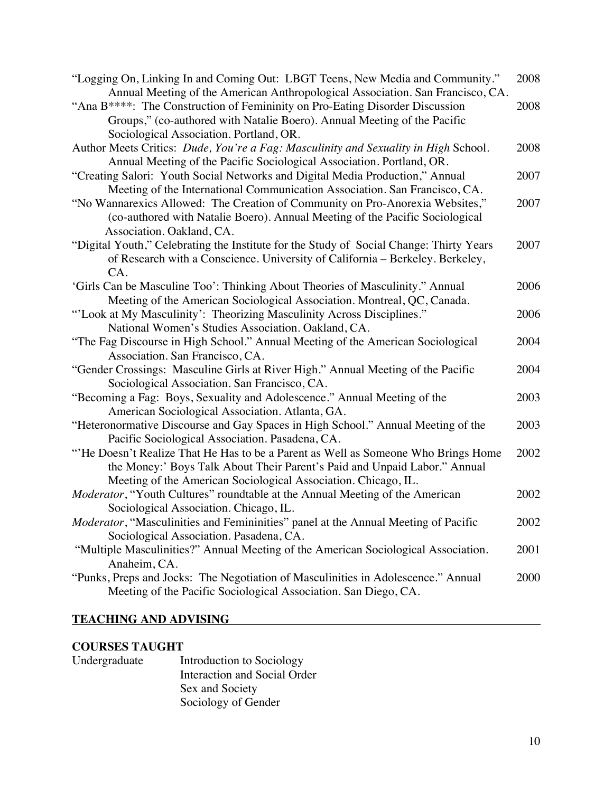| "Logging On, Linking In and Coming Out: LBGT Teens, New Media and Community."           | 2008 |
|-----------------------------------------------------------------------------------------|------|
| Annual Meeting of the American Anthropological Association. San Francisco, CA.          |      |
| "Ana B****: The Construction of Femininity on Pro-Eating Disorder Discussion            | 2008 |
| Groups," (co-authored with Natalie Boero). Annual Meeting of the Pacific                |      |
| Sociological Association. Portland, OR.                                                 |      |
| Author Meets Critics: Dude, You're a Fag: Masculinity and Sexuality in High School.     | 2008 |
| Annual Meeting of the Pacific Sociological Association. Portland, OR.                   |      |
| "Creating Salori: Youth Social Networks and Digital Media Production," Annual           | 2007 |
| Meeting of the International Communication Association. San Francisco, CA.              |      |
| "No Wannarexics Allowed: The Creation of Community on Pro-Anorexia Websites,"           | 2007 |
| (co-authored with Natalie Boero). Annual Meeting of the Pacific Sociological            |      |
| Association. Oakland, CA.                                                               |      |
| "Digital Youth," Celebrating the Institute for the Study of Social Change: Thirty Years | 2007 |
| of Research with a Conscience. University of California - Berkeley. Berkeley,           |      |
| CA.                                                                                     |      |
| 'Girls Can be Masculine Too': Thinking About Theories of Masculinity." Annual           | 2006 |
| Meeting of the American Sociological Association. Montreal, QC, Canada.                 |      |
| "'Look at My Masculinity': Theorizing Masculinity Across Disciplines."                  | 2006 |
| National Women's Studies Association. Oakland, CA.                                      |      |
| "The Fag Discourse in High School." Annual Meeting of the American Sociological         | 2004 |
| Association. San Francisco, CA.                                                         |      |
| "Gender Crossings: Masculine Girls at River High." Annual Meeting of the Pacific        | 2004 |
| Sociological Association. San Francisco, CA.                                            |      |
| "Becoming a Fag: Boys, Sexuality and Adolescence." Annual Meeting of the                | 2003 |
| American Sociological Association. Atlanta, GA.                                         |      |
| "Heteronormative Discourse and Gay Spaces in High School." Annual Meeting of the        | 2003 |
| Pacific Sociological Association. Pasadena, CA.                                         |      |
| "He Doesn't Realize That He Has to be a Parent as Well as Someone Who Brings Home       | 2002 |
| the Money:' Boys Talk About Their Parent's Paid and Unpaid Labor." Annual               |      |
|                                                                                         |      |
| Meeting of the American Sociological Association. Chicago, IL.                          |      |
| <i>Moderator</i> , "Youth Cultures" roundtable at the Annual Meeting of the American    | 2002 |
| Sociological Association. Chicago, IL.                                                  |      |
| Moderator, "Masculinities and Femininities" panel at the Annual Meeting of Pacific      | 2002 |
| Sociological Association. Pasadena, CA.                                                 |      |
| "Multiple Masculinities?" Annual Meeting of the American Sociological Association.      | 2001 |
| Anaheim, CA.                                                                            |      |
| "Punks, Preps and Jocks: The Negotiation of Masculinities in Adolescence." Annual       | 2000 |
| Meeting of the Pacific Sociological Association. San Diego, CA.                         |      |
|                                                                                         |      |

### **TEACHING AND ADVISING**

## **COURSES TAUGHT**

| Undergraduate | Introduction to Sociology    |
|---------------|------------------------------|
|               | Interaction and Social Order |
|               | Sex and Society              |
|               | Sociology of Gender          |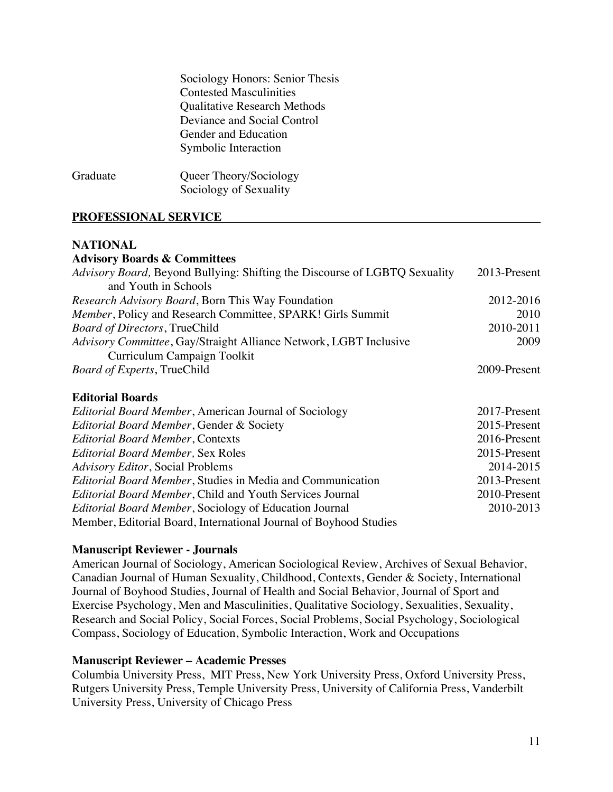| Sociology Honors: Senior Thesis     |
|-------------------------------------|
| <b>Contested Masculinities</b>      |
| <b>Qualitative Research Methods</b> |
| Deviance and Social Control         |
| Gender and Education                |
| Symbolic Interaction                |
|                                     |

Graduate Queer Theory/Sociology Sociology of Sexuality

### **PROFESSIONAL SERVICE**

#### **NATIONAL**

### **Advisory Boards & Committees**

| Advisory Board, Beyond Bullying: Shifting the Discourse of LGBTQ Sexuality | 2013-Present |
|----------------------------------------------------------------------------|--------------|
| and Youth in Schools                                                       |              |
| <i>Research Advisory Board, Born This Way Foundation</i>                   | 2012-2016    |
| Member, Policy and Research Committee, SPARK! Girls Summit                 | 2010         |
| <b>Board of Directors, TrueChild</b>                                       | 2010-2011    |
| Advisory Committee, Gay/Straight Alliance Network, LGBT Inclusive          | 2009         |
| Curriculum Campaign Toolkit                                                |              |
| <i>Board of Experts</i> , TrueChild                                        | 2009-Present |
|                                                                            |              |

### **Editorial Boards**

| <i>Editorial Board Member, American Journal of Sociology</i>      | 2017-Present |
|-------------------------------------------------------------------|--------------|
| Editorial Board Member, Gender & Society                          | 2015-Present |
| <b>Editorial Board Member, Contexts</b>                           | 2016-Present |
| <b>Editorial Board Member, Sex Roles</b>                          | 2015-Present |
| <b>Advisory Editor, Social Problems</b>                           | 2014-2015    |
| <i>Editorial Board Member, Studies in Media and Communication</i> | 2013-Present |
| <i>Editorial Board Member, Child and Youth Services Journal</i>   | 2010-Present |
| <i>Editorial Board Member, Sociology of Education Journal</i>     | 2010-2013    |
| Member, Editorial Board, International Journal of Boyhood Studies |              |

#### **Manuscript Reviewer - Journals**

American Journal of Sociology, American Sociological Review, Archives of Sexual Behavior, Canadian Journal of Human Sexuality, Childhood, Contexts, Gender & Society, International Journal of Boyhood Studies, Journal of Health and Social Behavior, Journal of Sport and Exercise Psychology, Men and Masculinities, Qualitative Sociology, Sexualities, Sexuality, Research and Social Policy, Social Forces, Social Problems, Social Psychology, Sociological Compass, Sociology of Education, Symbolic Interaction, Work and Occupations

#### **Manuscript Reviewer – Academic Presses**

Columbia University Press, MIT Press, New York University Press, Oxford University Press, Rutgers University Press, Temple University Press, University of California Press, Vanderbilt University Press, University of Chicago Press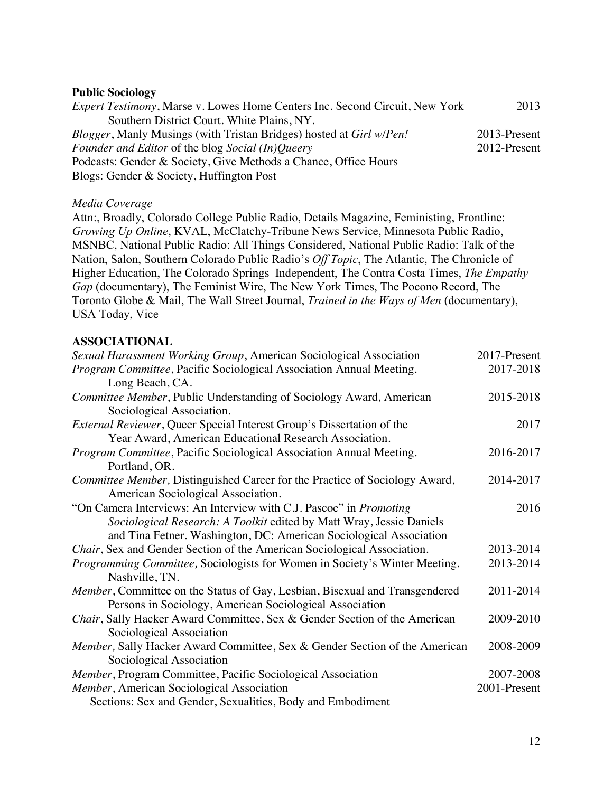#### **Public Sociology**

| <i>Expert Testimony</i> , Marse v. Lowes Home Centers Inc. Second Circuit, New York | 2013         |
|-------------------------------------------------------------------------------------|--------------|
| Southern District Court. White Plains, NY.                                          |              |
| <i>Blogger</i> , Manly Musings (with Tristan Bridges) hosted at <i>Girl w/Pen!</i>  | 2013-Present |
| <i>Founder and Editor</i> of the blog <i>Social</i> (In) <i>Queery</i>              | 2012-Present |
| Podcasts: Gender & Society, Give Methods a Chance, Office Hours                     |              |
| Blogs: Gender & Society, Huffington Post                                            |              |

### *Media Coverage*

Attn:, Broadly, Colorado College Public Radio, Details Magazine, Feministing, Frontline: *Growing Up Online*, KVAL, McClatchy-Tribune News Service, Minnesota Public Radio, MSNBC, National Public Radio: All Things Considered, National Public Radio: Talk of the Nation, Salon, Southern Colorado Public Radio's *Off Topic*, The Atlantic, The Chronicle of Higher Education, The Colorado Springs Independent, The Contra Costa Times, *The Empathy Gap* (documentary), The Feminist Wire, The New York Times, The Pocono Record, The Toronto Globe & Mail, The Wall Street Journal, *Trained in the Ways of Men* (documentary), USA Today, Vice

### **ASSOCIATIONAL**

| Sexual Harassment Working Group, American Sociological Association            | 2017-Present |
|-------------------------------------------------------------------------------|--------------|
| Program Committee, Pacific Sociological Association Annual Meeting.           | 2017-2018    |
| Long Beach, CA.                                                               |              |
| Committee Member, Public Understanding of Sociology Award, American           | 2015-2018    |
| Sociological Association.                                                     |              |
| <i>External Reviewer</i> , Queer Special Interest Group's Dissertation of the | 2017         |
| Year Award, American Educational Research Association.                        |              |
| Program Committee, Pacific Sociological Association Annual Meeting.           | 2016-2017    |
| Portland, OR.                                                                 |              |
| Committee Member, Distinguished Career for the Practice of Sociology Award,   | 2014-2017    |
| American Sociological Association.                                            |              |
| "On Camera Interviews: An Interview with C.J. Pascoe" in <i>Promoting</i>     | 2016         |
| Sociological Research: A Toolkit edited by Matt Wray, Jessie Daniels          |              |
| and Tina Fetner. Washington, DC: American Sociological Association            |              |
| Chair, Sex and Gender Section of the American Sociological Association.       | 2013-2014    |
| Programming Committee, Sociologists for Women in Society's Winter Meeting.    | 2013-2014    |
| Nashville, TN.                                                                |              |
| Member, Committee on the Status of Gay, Lesbian, Bisexual and Transgendered   | 2011-2014    |
| Persons in Sociology, American Sociological Association                       |              |
| Chair, Sally Hacker Award Committee, Sex & Gender Section of the American     | 2009-2010    |
| Sociological Association                                                      |              |
| Member, Sally Hacker Award Committee, Sex & Gender Section of the American    | 2008-2009    |
| Sociological Association                                                      |              |
| Member, Program Committee, Pacific Sociological Association                   | 2007-2008    |
| Member, American Sociological Association                                     | 2001-Present |
| Sections: Sex and Gender, Sexualities, Body and Embodiment                    |              |